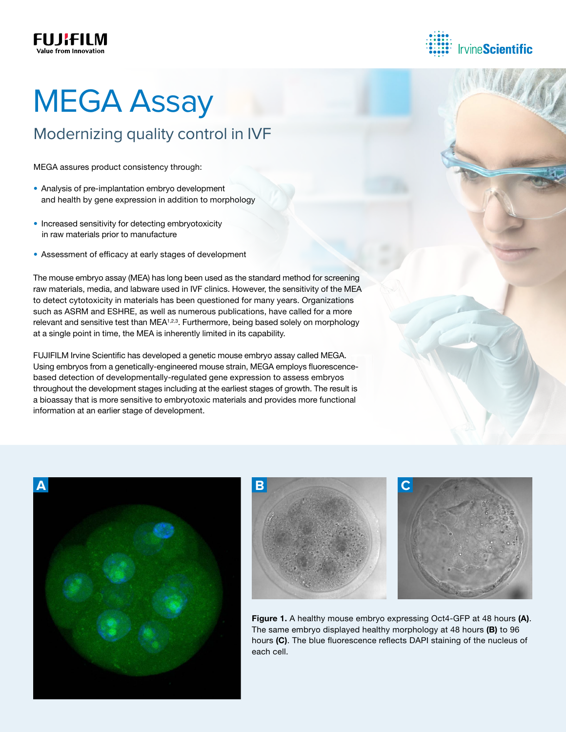



# **MEGA Assay**

### Modernizing quality control in IVF

MEGA assures product consistency through:

- Analysis of pre-implantation embryo development and health by gene expression in addition to morphology
- Increased sensitivity for detecting embryotoxicity in raw materials prior to manufacture
- Assessment of efficacy at early stages of development

The mouse embryo assay (MEA) has long been used as the standard method for screening raw materials, media, and labware used in IVF clinics. However, the sensitivity of the MEA to detect cytotoxicity in materials has been questioned for many years. Organizations such as ASRM and ESHRE, as well as numerous publications, have called for a more relevant and sensitive test than MEA<sup>1,2,3</sup>. Furthermore, being based solely on morphology at a single point in time, the MEA is inherently limited in its capability.

FUJIFILM Irvine Scientific has developed a genetic mouse embryo assay called MEGA. Using embryos from a genetically-engineered mouse strain, MEGA employs fluorescencebased detection of developmentally-regulated gene expression to assess embryos throughout the development stages including at the earliest stages of growth. The result is a bioassay that is more sensitive to embryotoxic materials and provides more functional information at an earlier stage of development.







Figure 1. A healthy mouse embryo expressing Oct4-GFP at 48 hours (A). The same embryo displayed healthy morphology at 48 hours (B) to 96 hours (C). The blue fluorescence reflects DAPI staining of the nucleus of each cell.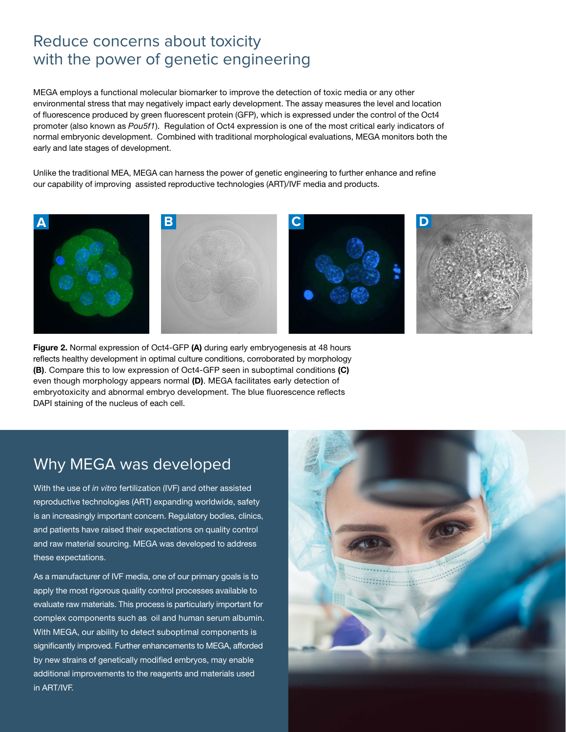### Reduce concerns about toxicity with the power of genetic engineering

MEGA employs a functional molecular biomarker to improve the detection of toxic media or any other environmental stress that may negatively impact early development. The assay measures the level and location of fluorescence produced by green fluorescent protein (GFP), which is expressed under the control of the Oct4 promoter (also known as *Pou5f1*). Regulation of Oct4 expression is one of the most critical early indicators of normal embryonic development. Combined with traditional morphological evaluations, MEGA monitors both the early and late stages of development.

Unlike the traditional MEA, MEGA can harness the power of genetic engineering to further enhance and refine our capability of improving assisted reproductive technologies (ART)/IVF media and products.



Figure 2. Normal expression of Oct4-GFP (A) during early embryogenesis at 48 hours reflects healthy development in optimal culture conditions, corroborated by morphology (B). Compare this to low expression of Oct4-GFP seen in suboptimal conditions (C) even though morphology appears normal (D). MEGA facilitates early detection of embryotoxicity and abnormal embryo development. The blue fluorescence reflects DAPI staining of the nucleus of each cell.

### Why MEGA was developed

With the use of *in vitro* fertilization (IVF) and other assisted reproductive technologies (ART) expanding worldwide, safety is an increasingly important concern. Regulatory bodies, clinics, and patients have raised their expectations on quality control and raw material sourcing. MEGA was developed to address these expectations.

As a manufacturer of IVF media, one of our primary goals is to apply the most rigorous quality control processes available to evaluate raw materials. This process is particularly important for complex components such as oil and human serum albumin. With MEGA, our ability to detect suboptimal components is significantly improved. Further enhancements to MEGA, afforded by new strains of genetically modified embryos, may enable additional improvements to the reagents and materials used in ART/IVF.

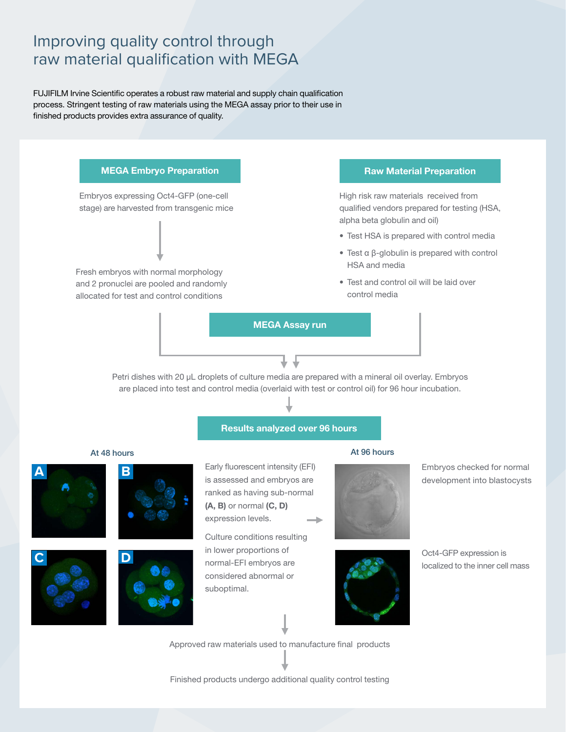### Improving quality control through raw material qualification with MEGA

FUJIFILM Irvine Scientific operates a robust raw material and supply chain qualification process. Stringent testing of raw materials using the MEGA assay prior to their use in finished products provides extra assurance of quality.

## Embryos expressing Oct4-GFP (one-cell stage) are harvested from transgenic mice Fresh embryos with normal morphology and 2 pronuclei are pooled and randomly allocated for test and control conditions MEGA Embryo Preparation **Raw Material Preparation** MEGA Assay run

High risk raw materials received from qualified vendors prepared for testing (HSA, alpha beta globulin and oil)

- Test HSA is prepared with control media
- Test α β-globulin is prepared with control HSA and media
- Test and control oil will be laid over control media

Petri dishes with 20 µL droplets of culture media are prepared with a mineral oil overlay. Embryos are placed into test and control media (overlaid with test or control oil) for 96 hour incubation.

#### Results analyzed over 96 hours

#### At 48 hours







Early fluorescent intensity (EFI) is assessed and embryos are ranked as having sub-normal (A, B) or normal (C, D) expression levels.

Culture conditions resulting in lower proportions of normal-EFI embryos are considered abnormal or suboptimal.

#### At 96 hours



Embryos checked for normal development into blastocysts



Oct4-GFP expression is localized to the inner cell mass

Approved raw materials used to manufacture final products

Finished products undergo additional quality control testing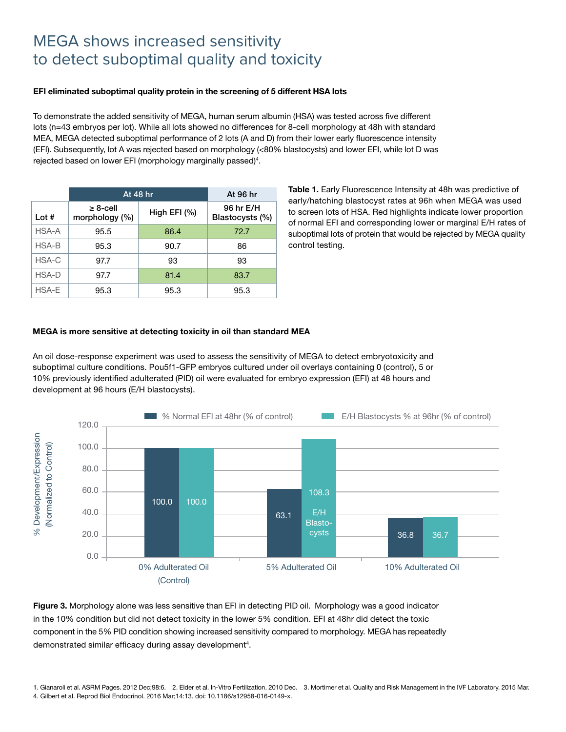### MEGA shows increased sensitivity to detect suboptimal quality and toxicity

#### EFI eliminated suboptimal quality protein in the screening of 5 different HSA lots

To demonstrate the added sensitivity of MEGA, human serum albumin (HSA) was tested across five different lots (n=43 embryos per lot). While all lots showed no differences for 8-cell morphology at 48h with standard MEA, MEGA detected suboptimal performance of 2 lots (A and D) from their lower early fluorescence intensity (EFI). Subsequently, lot A was rejected based on morphology (<80% blastocysts) and lower EFI, while lot D was rejected based on lower EFI (morphology marginally passed)<sup>4</sup>.

|         | At 48 hr                         | At 96 hr       |                              |
|---------|----------------------------------|----------------|------------------------------|
| Lot $#$ | $\geq 8$ -cell<br>morphology (%) | High EFI $(%)$ | 96 hr E/H<br>Blastocysts (%) |
| HSA-A   | 95.5                             | 86.4           | 72.7                         |
| HSA-B   | 95.3                             | 90.7           | 86                           |
| HSA-C   | 97.7                             | 93             | 93                           |
| HSA-D   | 97.7                             | 81.4           | 83.7                         |
| HSA-E   | 95.3                             | 95.3           | 95.3                         |

Table 1. Early Fluorescence Intensity at 48h was predictive of early/hatching blastocyst rates at 96h when MEGA was used to screen lots of HSA. Red highlights indicate lower proportion of normal EFI and corresponding lower or marginal E/H rates of suboptimal lots of protein that would be rejected by MEGA quality control testing.

#### MEGA is more sensitive at detecting toxicity in oil than standard MEA

An oil dose-response experiment was used to assess the sensitivity of MEGA to detect embryotoxicity and suboptimal culture conditions. Pou5f1-GFP embryos cultured under oil overlays containing 0 (control), 5 or 10% previously identified adulterated (PID) oil were evaluated for embryo expression (EFI) at 48 hours and development at 96 hours (E/H blastocysts).



Figure 3. Morphology alone was less sensitive than EFI in detecting PID oil. Morphology was a good indicator in the 10% condition but did not detect toxicity in the lower 5% condition. EFI at 48hr did detect the toxic component in the 5% PID condition showing increased sensitivity compared to morphology. MEGA has repeatedly demonstrated similar efficacy during assay development<sup>4</sup>.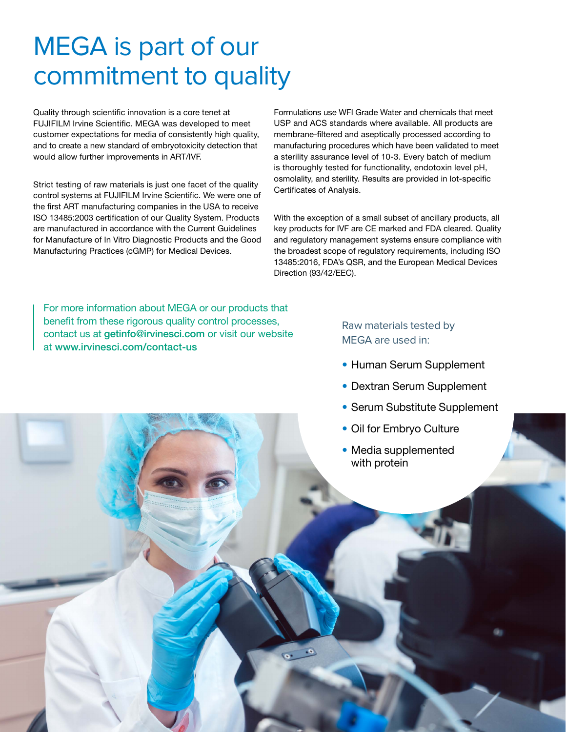## MEGA is part of our commitment to quality

Quality through scientific innovation is a core tenet at FUJIFILM Irvine Scientific. MEGA was developed to meet customer expectations for media of consistently high quality, and to create a new standard of embryotoxicity detection that would allow further improvements in ART/IVF.

Strict testing of raw materials is just one facet of the quality control systems at FUJIFILM Irvine Scientific. We were one of the first ART manufacturing companies in the USA to receive ISO 13485:2003 certification of our Quality System. Products are manufactured in accordance with the Current Guidelines for Manufacture of In Vitro Diagnostic Products and the Good Manufacturing Practices (cGMP) for Medical Devices.

Formulations use WFI Grade Water and chemicals that meet USP and ACS standards where available. All products are membrane-filtered and aseptically processed according to manufacturing procedures which have been validated to meet a sterility assurance level of 10-3. Every batch of medium is thoroughly tested for functionality, endotoxin level pH, osmolality, and sterility. Results are provided in lot-specific Certificates of Analysis.

With the exception of a small subset of ancillary products, all key products for IVF are CE marked and FDA cleared. Quality and regulatory management systems ensure compliance with the broadest scope of regulatory requirements, including ISO 13485:2016, FDA's QSR, and the European Medical Devices Direction (93/42/EEC).

For more information about MEGA or our products that benefit from these rigorous quality control processes, contact us at getinfo@irvinesci.com or visit our website at www.irvinesci.com/contact-us

#### Raw materials tested by MEGA are used in:

- Human Serum Supplement
- Dextran Serum Supplement
- Serum Substitute Supplement
- Oil for Embryo Culture
- Media supplemented with protein